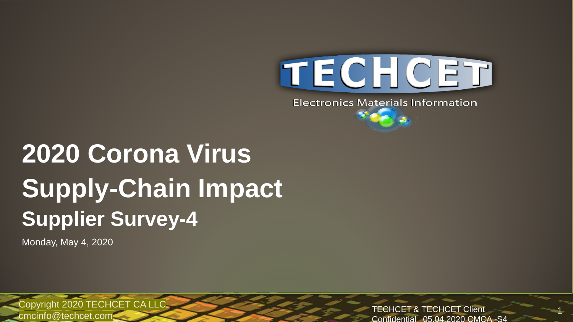

**Electronics Materials Information** 

## **2020 Corona Virus Supply-Chain Impact Supplier Survey-4**

Monday, May 4, 2020

Copyright 2020 TECHCET CA LLC TECHCET Client cmcinfo@techcet.com

Confidential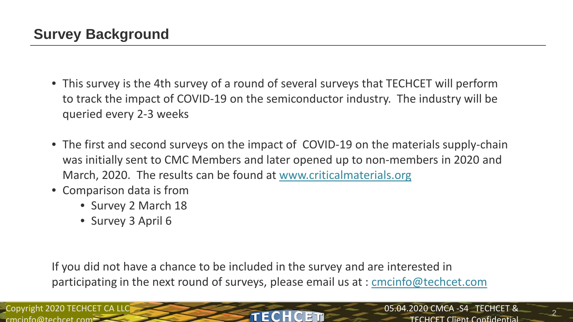- This survey is the 4th survey of a round of several surveys that TECHCET will perform to track the impact of COVID-19 on the semiconductor industry. The industry will be queried every 2-3 weeks
- The first and second surveys on the impact of COVID-19 on the materials supply-chain was initially sent to CMC Members and later opened up to non-members in 2020 and March, 2020. The results can be found at [www.criticalmaterials.org](http://www.criticalmaterials.org/)
- Comparison data is from
	- Survey 2 March 18
	- Survey 3 April 6

If you did not have a chance to be included in the survey and are interested in participating in the next round of surveys, please email us at : [cmcinfo@techcet.com](mailto:cmcinfo@techcet.com)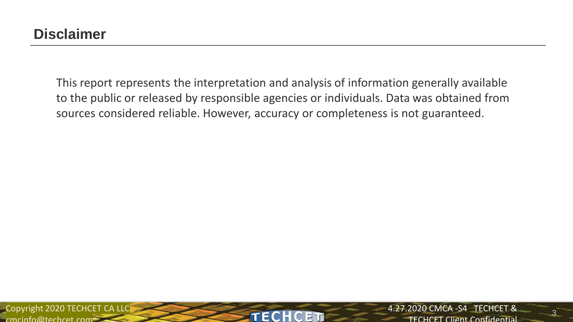This report represents the interpretation and analysis of information generally available to the public or released by responsible agencies or individuals. Data was obtained from sources considered reliable. However, accuracy or completeness is not guaranteed.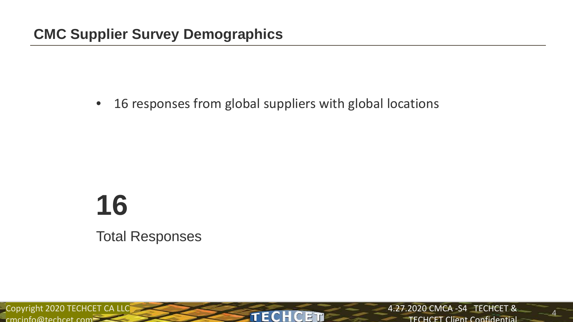• 16 responses from global suppliers with global locations

# **16**

Total Responses

Copyright 2020 TECHCET CA LLC<br>
FECHCET  $c$ mcinfo@techcet.com $=$ 

4.27.2020 CMCA -S4 TECHCET & **TECHCET Client Confidential**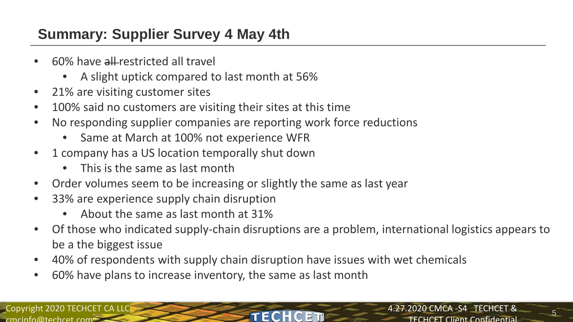## **Summary: Supplier Survey 4 May 4th**

- 60% have all restricted all travel
	- A slight uptick compared to last month at 56%
- 21% are visiting customer sites
- 100% said no customers are visiting their sites at this time
- No responding supplier companies are reporting work force reductions
	- Same at March at 100% not experience WFR
- 1 company has a US location temporally shut down
	- This is the same as last month
- Order volumes seem to be increasing or slightly the same as last year
- 33% are experience supply chain disruption
	- About the same as last month at 31%
- Of those who indicated supply-chain disruptions are a problem, international logistics appears to be a the biggest issue
- 40% of respondents with supply chain disruption have issues with wet chemicals
- 60% have plans to increase inventory, the same as last month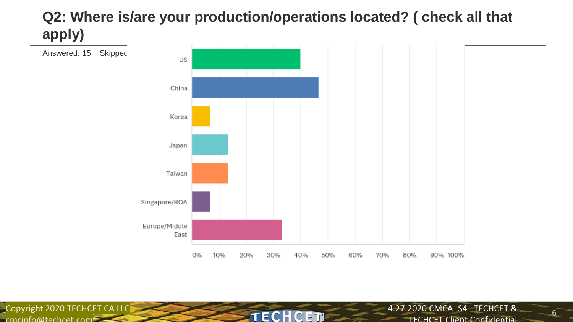## **Q2: Where is/are your production/operations located? ( check all that apply)**



**TECH** 

C ETN

Copyright 2020 TECHCET CA LLC  $c$ mcinfo@techcet.com

4.27.2020 CMCA -S4 TECHCET & TECHCET Client Confidential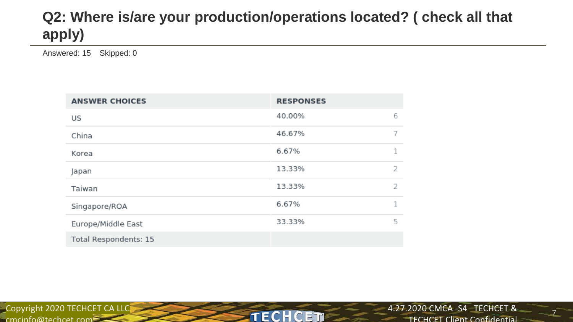## **Q2: Where is/are your production/operations located? ( check all that apply)**

**TECHCET** 

Answered: 15 Skipped: 0

| <b>ANSWER CHOICES</b> | <b>RESPONSES</b> |   |
|-----------------------|------------------|---|
| US                    | 40.00%           | 6 |
| China                 | 46.67%           | 7 |
| Korea                 | 6.67%            | 1 |
| Japan                 | 13.33%           | 2 |
| Taiwan                | 13.33%           | 2 |
| Singapore/ROA         | 6.67%            | 1 |
| Europe/Middle East    | 33.33%           | 5 |
| Total Respondents: 15 |                  |   |

Copyright 2020 TECHCET CA LLC  $c$ mcinfo@techcet.com $=$ 

4.27.2020 CMCA -S4 TECHCET &

TECHCET Client Confidential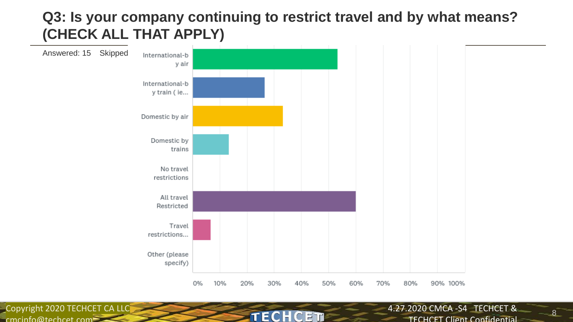## **Q3: Is your company continuing to restrict travel and by what means? (CHECK ALL THAT APPLY)**



TECH

C FT

Copyright 2020 TECHCET CA LLC  $c$ mcinfo@techcet.com

4.27.2020 CMCA -S4 TECHCET & TECHCET Client Confidential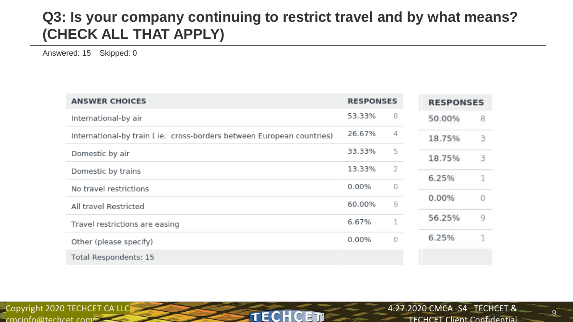## **Q3: Is your company continuing to restrict travel and by what means? (CHECK ALL THAT APPLY)**

Answered: 15 Skipped: 0

| <b>ANSWER CHOICES</b>                                                 | <b>RESPONSES</b> |          | <b>RESPONSES</b> |   |
|-----------------------------------------------------------------------|------------------|----------|------------------|---|
| International-by air                                                  | 53.33%           | 8        | 50.00%           | 8 |
| International-by train (ie. cross-borders between European countries) | 26.67%           | 4        | 18.75%           | з |
| Domestic by air                                                       | 33.33%           | 5        | 18.75%           | 3 |
| Domestic by trains                                                    | 13.33%           | 2        | 6.25%            |   |
| No travel restrictions                                                | 0.00%            | $\Omega$ |                  |   |
| All travel Restricted                                                 | 60.00%           | 9        | 0.00%            |   |
| Travel restrictions are easing                                        | 6.67%            | Τ.       | 56.25%           | q |
| Other (please specify)                                                | $0.00\%$         | $\Omega$ | 6.25%            |   |
| Total Respondents: 15                                                 |                  |          |                  |   |

**TECHCET** 

Copyright 2020 TECHCET CA LLC  $c$ mcinfo@techcet.com $=$ 

4.27.2020 CMCA -S4 TECHCET & TECHCET Client Confidential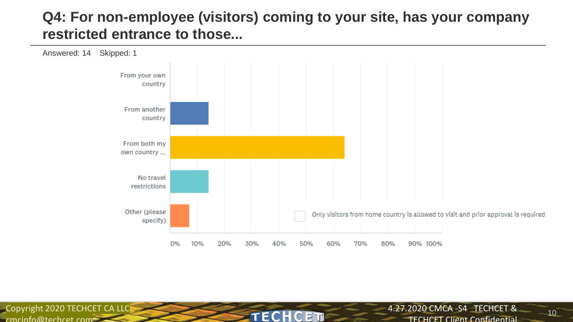## **Q4: For non-employee (visitors) coming to your site, has your company restricted entrance to those...**



TECH

C FT

Copyright 2020 TECHCET CA LLC  $c$ mcinfo@techcet.com

4.27.2020 CMCA -S4 TECHCET & TECHCET Client Confidential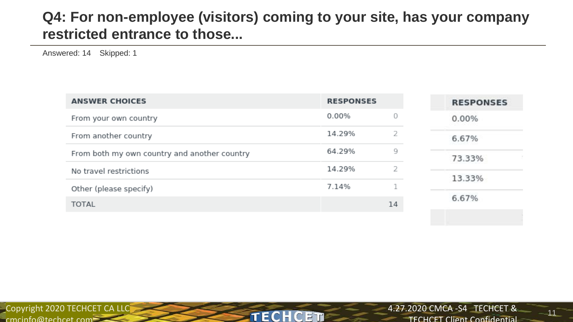## **Q4: For non-employee (visitors) coming to your site, has your company restricted entrance to those...**

Answered: 14 Skipped: 1

| <b>ANSWER CHOICES</b>                        | <b>RESPONSES</b> |    | <b>RESPONSES</b> |
|----------------------------------------------|------------------|----|------------------|
| From your own country                        | 0.00%            | 0  | 0.00%            |
| From another country                         | 14.29%           |    | 6.67%            |
| From both my own country and another country | 64.29%           | 9  | 73.33%           |
| No travel restrictions                       | 14.29%           |    | 13.33%           |
| Other (please specify)                       | 7.14%            |    |                  |
| <b>TOTAL</b>                                 |                  | 14 | 6.67%            |
|                                              |                  |    |                  |

**TECHCET** 

Copyright 2020 TECHCET CA LLC  $c$ mcinfo@techcet.com $=$ 

4.27.2020 CMCA -S4 TECHCET & TECHCET Client Confidential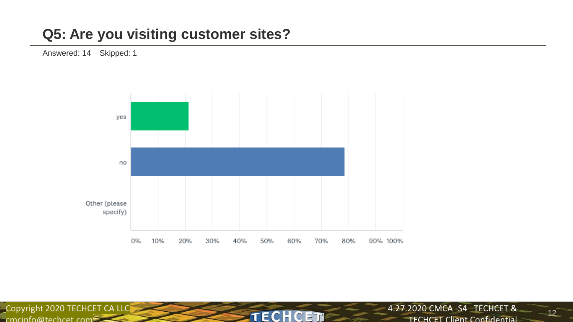## **Q5: Are you visiting customer sites?**

Answered: 14 Skipped: 1



**TECHCET** 

Copyright 2020 TECHCET CA LLC

4.27.2020 CMCA -S4 TECHCET & TECHCET Client Confidential

 $12^{-}$ 

 $c$ mcinfo@techcet.com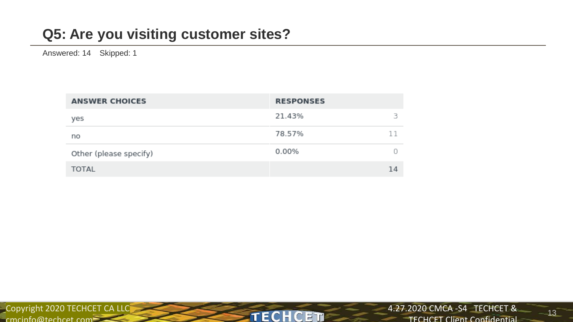## **Q5: Are you visiting customer sites?**

Answered: 14 Skipped: 1

| <b>ANSWER CHOICES</b>  | <b>RESPONSES</b> |
|------------------------|------------------|
| yes                    | 21.43%<br>в      |
| no                     | 11<br>78.57%     |
| Other (please specify) | 0.00%            |
| <b>TOTAL</b>           | 14               |

**TECHCET** 

 $13^{-}$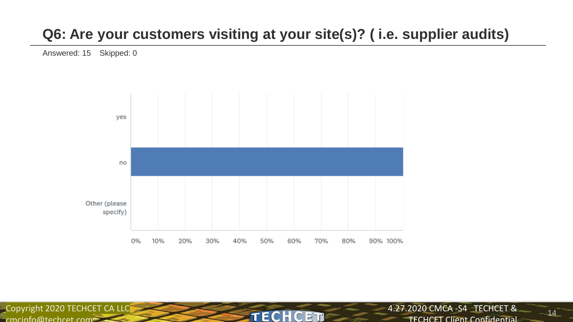## **Q6: Are your customers visiting at your site(s)? ( i.e. supplier audits)**

Answered: 15 Skipped: 0



**TECH** 

C ET

Copyright 2020 TECHCET CA LLC  $c$ mcinfo@techcet.com

4.27.2020 CMCA -S4 TECHCET & **TECHCET Client Confidential**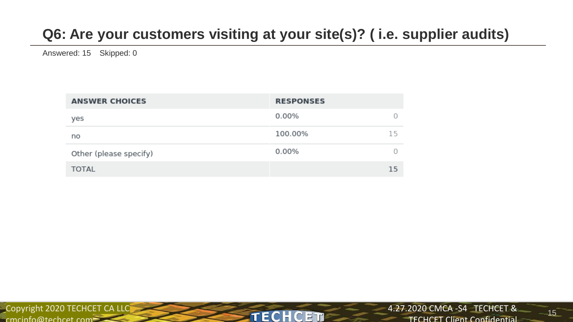## **Q6: Are your customers visiting at your site(s)? ( i.e. supplier audits)**

**TECHCET** 

Answered: 15 Skipped: 0

| <b>ANSWER CHOICES</b>  | <b>RESPONSES</b> |
|------------------------|------------------|
| yes                    | 0.00%            |
| no                     | 100.00%<br>15    |
| Other (please specify) | 0.00%            |
| <b>TOTAL</b>           | 15               |

Copyright 2020 TECHCET CA LLC  $c$ mcinfo@techcet.com $\geq$ 

 $15^{-}$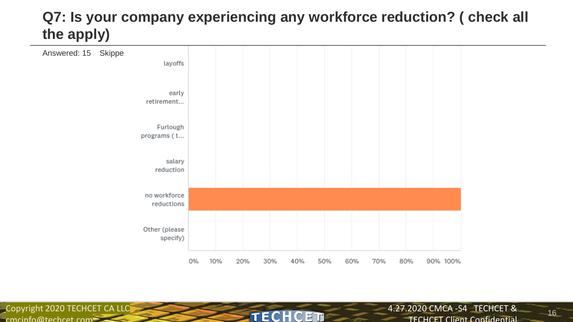## **Q7: Is your company experiencing any workforce reduction? ( check all the apply)**



**TECH** 

C ETN

Copyright 2020 TECHCET CA LLC cmcinfo@techcet.com

4.27.2020 CMCA -S4 TECHCET &

TECHCET Client Confidential

 $16^{-}$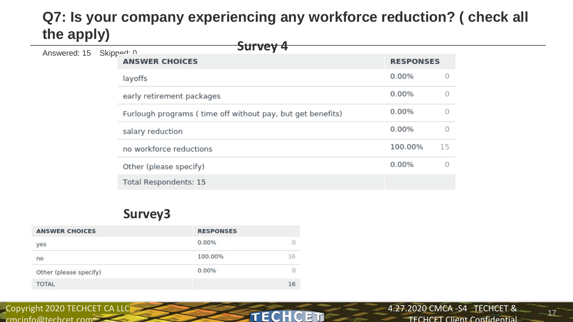## **Q7: Is your company experiencing any workforce reduction? ( check all the apply)**

**TECHCET** 

| .            |                       |                                                            |         |    |
|--------------|-----------------------|------------------------------------------------------------|---------|----|
| Answered: 15 | Skippod: 0            | <del>Survey 4</del>                                        |         |    |
|              | <b>ANSWER CHOICES</b> | <b>RESPONSES</b>                                           |         |    |
|              |                       | layoffs                                                    | 0.00%   |    |
|              |                       | early retirement packages                                  | 0.00%   |    |
|              |                       | Furlough programs (time off without pay, but get benefits) | 0.00%   |    |
|              |                       | salary reduction                                           | 0.00%   |    |
|              |                       | no workforce reductions                                    | 100.00% | 15 |
|              |                       | Other (please specify)                                     | 0.00%   |    |
|              |                       | Total Respondents: 15                                      |         |    |
|              |                       |                                                            |         |    |

#### **Survey3**

| <b>ANSWER CHOICES</b>  | <b>RESPONSES</b> |    |
|------------------------|------------------|----|
| yes                    | $0.00\%$         |    |
| no                     | 100.00%          | 16 |
| Other (please specify) | 0.00%            |    |
| <b>TOTAL</b>           |                  | 16 |

Copyright 2020 TECHCET CA LLC  $c$ mcinfo@techcet.com $=$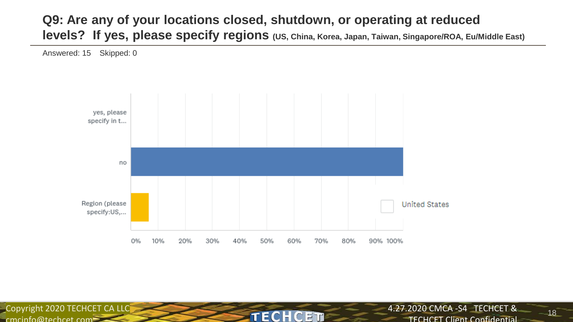#### **Q9: Are any of your locations closed, shutdown, or operating at reduced levels? If yes, please specify regions (US, China, Korea, Japan, Taiwan, Singapore/ROA, Eu/Middle East)**

Answered: 15 Skipped: 0



TECH

C

E TI

Copyright 2020 TECHCET CA LLC  $c$ mcinfo@techcet.com

4.27.2020 CMCA -S4 TECHCET & TECHCET Client Confidential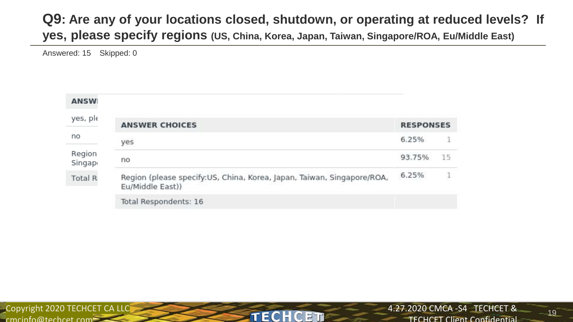#### **Q9: Are any of your locations closed, shutdown, or operating at reduced levels? If yes, please specify regions (US, China, Korea, Japan, Taiwan, Singapore/ROA, Eu/Middle East)**

Answered: 15 Skipped: 0

| <b>ANSW</b>      |                                                                                            |                  |    |
|------------------|--------------------------------------------------------------------------------------------|------------------|----|
| yes, ple         | <b>ANSWER CHOICES</b>                                                                      | <b>RESPONSES</b> |    |
| no               | yes                                                                                        | 6.25%            |    |
| Region<br>Singap | no                                                                                         | 93.75%           | 15 |
| Total R          | Region (please specify:US, China, Korea, Japan, Taiwan, Singapore/ROA,<br>Eu/Middle East)) | 6.25%            |    |
|                  | Total Respondents: 16                                                                      |                  |    |

TECH

C FT

Copyright 2020 TECHCET CA LLC  $c$ mcinfo@techcet.com

 $19^-$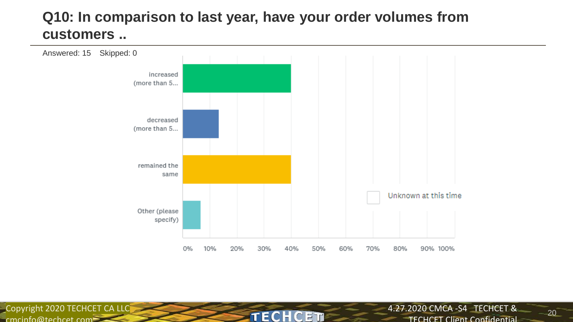## **Q10: In comparison to last year, have your order volumes from customers ..**



**TECHCET** 

Copyright 2020 TECHCET CA LLC cmcinfo@techcet.com

4.27.2020 CMCA -S4 TECHCET &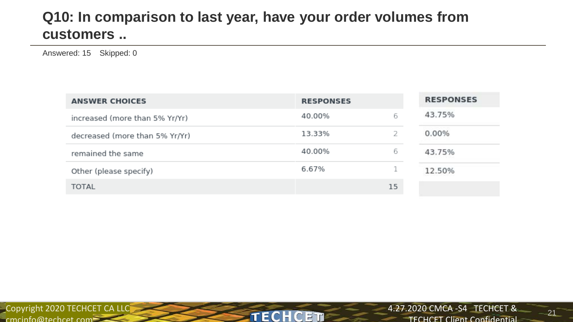## **Q10: In comparison to last year, have your order volumes from customers ..**

Answered: 15 Skipped: 0

| <b>ANSWER CHOICES</b>          | <b>RESPONSES</b> |    | <b>RESPONSES</b> |
|--------------------------------|------------------|----|------------------|
| increased (more than 5% Yr/Yr) | 40.00%           | 6  | 43.75%           |
| decreased (more than 5% Yr/Yr) | 13.33%           |    | 0.00%            |
| remained the same              | 40.00%           | 6  | 43.75%           |
| Other (please specify)         | 6.67%            |    | 12.50%           |
| <b>TOTAL</b>                   |                  | 15 |                  |

**TECHCET** 

Copyright 2020 TECHCET CA LLC cmcinfo@techcet.com

 $21^{-}$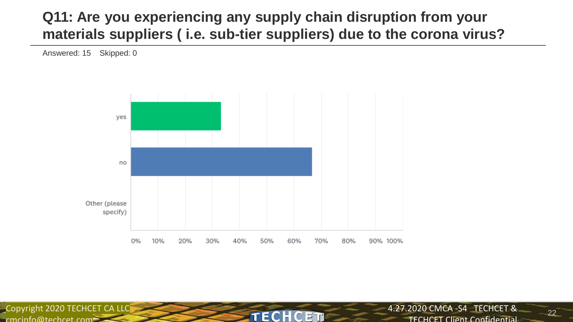## **Q11: Are you experiencing any supply chain disruption from your materials suppliers ( i.e. sub-tier suppliers) due to the corona virus?**

Answered: 15 Skipped: 0



TECH

C F T

Copyright 2020 TECHCET CA LLC

 $c$ mcinfo@techcet.com

4.27.2020 CMCA -S4 TECHCET &

TECHCET Client Confidential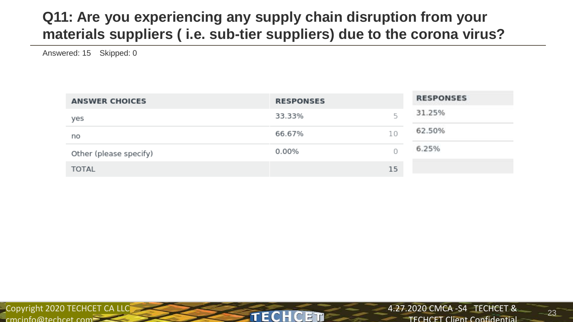## **Q11: Are you experiencing any supply chain disruption from your materials suppliers ( i.e. sub-tier suppliers) due to the corona virus?**

Answered: 15 Skipped: 0

| <b>ANSWER CHOICES</b>  | <b>RESPONSES</b> |    | <b>RESPONSES</b> |
|------------------------|------------------|----|------------------|
| yes                    | 33.33%           |    | 31.25%           |
| no                     | 66.67%           | 10 | 62.50%           |
| Other (please specify) | 0.00%            |    | 6.25%            |
| <b>TOTAL</b>           |                  | 15 |                  |

TECH

FIF

Copyright 2020 TECHCET CA LLC  $c$ mcinfo@techcet.com $\equiv$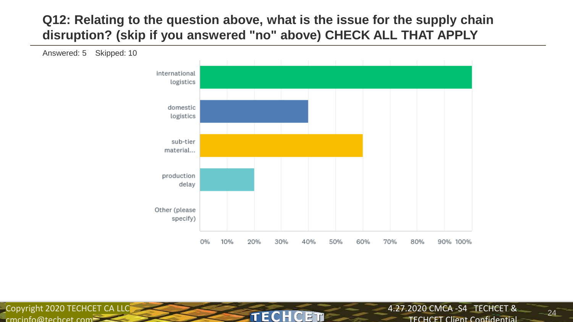#### **Q12: Relating to the question above, what is the issue for the supply chain disruption? (skip if you answered "no" above) CHECK ALL THAT APPLY**



**TECHCET** 

Copyright 2020 TECHCET CA LLC  $c$ mcinfo@techcet.com

4.27.2020 CMCA -S4 TECHCET &

TECHCET Client Confidential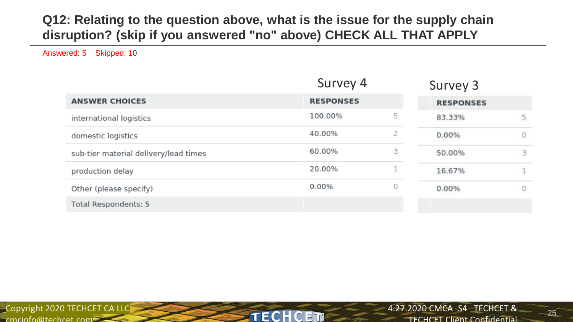#### **Q12: Relating to the question above, what is the issue for the supply chain disruption? (skip if you answered "no" above) CHECK ALL THAT APPLY**

Answered: 5 Skipped: 10

|                                       | Survey 4         |    | Survey 3         |   |
|---------------------------------------|------------------|----|------------------|---|
| <b>ANSWER CHOICES</b>                 | <b>RESPONSES</b> |    | <b>RESPONSES</b> |   |
| international logistics               | 100.00%          | 5  | 83.33%           | 5 |
| domestic logistics                    | 40.00%           |    | 0.00%            | 0 |
| sub-tier material delivery/lead times | 60.00%           | 3. | 50.00%           | 3 |
| production delay                      | 20.00%           | n. | 16.67%           | 1 |
| Other (please specify)                | 0.00%            | O  | 0.00%            | 0 |
| Total Respondents: 5                  |                  |    |                  |   |

**TECHCET** 

Copyright 2020 TECHCET CA LLC  $c$ mcinfo@techcet.com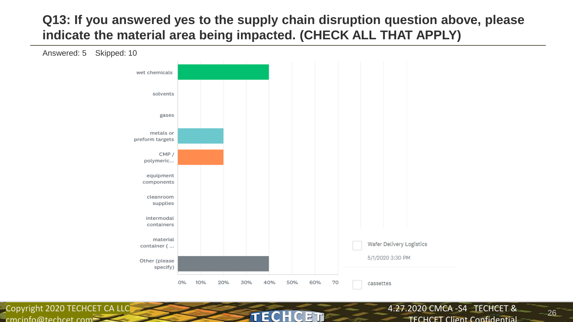#### **Q13: If you answered yes to the supply chain disruption question above, please indicate the material area being impacted. (CHECK ALL THAT APPLY)**



EC

FTF

Copyright 2020 TECHCET CA LLC  $c$ mcinfo@techcet.com

4.27.2020 CMCA -S4 TECHCET &

TECHCET Client Confidential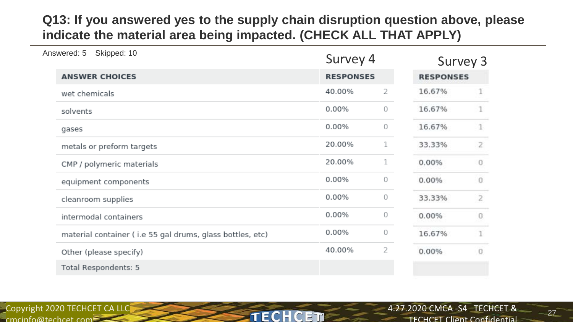#### **Q13: If you answered yes to the supply chain disruption question above, please indicate the material area being impacted. (CHECK ALL THAT APPLY)**

| Answered: 5<br>Skipped: 10                                | Survey 4         |   | Survey 3         |                |
|-----------------------------------------------------------|------------------|---|------------------|----------------|
| <b>ANSWER CHOICES</b>                                     | <b>RESPONSES</b> |   | <b>RESPONSES</b> |                |
| wet chemicals                                             | 40.00%           | 2 | 16.67%           |                |
| solvents                                                  | 0.00%            | 0 | 16.67%           |                |
| gases                                                     | 0.00%            | 0 | 16.67%           |                |
| metals or preform targets                                 | 20.00%           | 1 | 33.33%           | 2              |
| CMP / polymeric materials                                 | 20.00%           | 1 | 0.00%            | 0              |
| equipment components                                      | 0.00%            | 0 | 0.00%            | 0              |
| cleanroom supplies                                        | 0.00%            | 0 | 33.33%           | $\overline{2}$ |
| intermodal containers                                     | 0.00%            | 0 | 0.00%            | 0              |
| material container (i.e 55 gal drums, glass bottles, etc) | 0.00%            | 0 | 16.67%           |                |
| Other (please specify)                                    | 40.00%           | 2 | 0.00%            | O              |
| Total Respondents: 5                                      |                  |   |                  |                |

**TECHCET** 

Copyright 2020 TECHCET CA LLC  $c$ mcinfo@techcet.com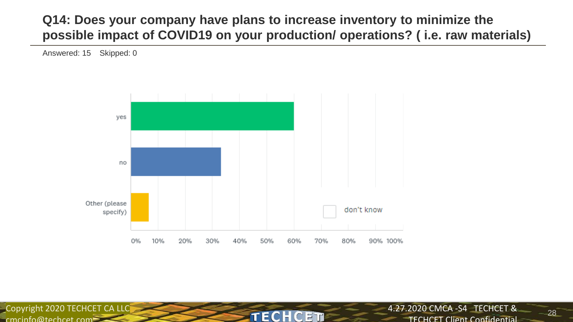#### **Q14: Does your company have plans to increase inventory to minimize the possible impact of COVID19 on your production/ operations? ( i.e. raw materials)**

Answered: 15 Skipped: 0



TECH

C E TI

Copyright 2020 TECHCET CA LLC  $c$ mcinfo@techcet.com

4.27.2020 CMCA -S4 TECHCET & TECHCET Client Confidential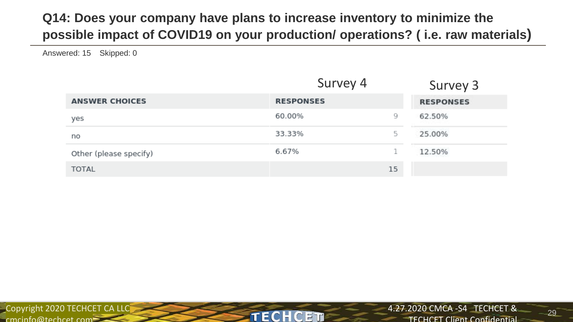### **Q14: Does your company have plans to increase inventory to minimize the possible impact of COVID19 on your production/ operations? ( i.e. raw materials)**

Answered: 15 Skipped: 0

|                        | Survey 4         |    | Survey 3         |
|------------------------|------------------|----|------------------|
| <b>ANSWER CHOICES</b>  | <b>RESPONSES</b> |    | <b>RESPONSES</b> |
| yes                    | 60.00%           | 9  | 62.50%           |
| no                     | 33.33%           | 5  | 25.00%           |
| Other (please specify) | 6.67%            | n  | 12.50%           |
| <b>TOTAL</b>           |                  | 15 |                  |

**TECH** 

C FT